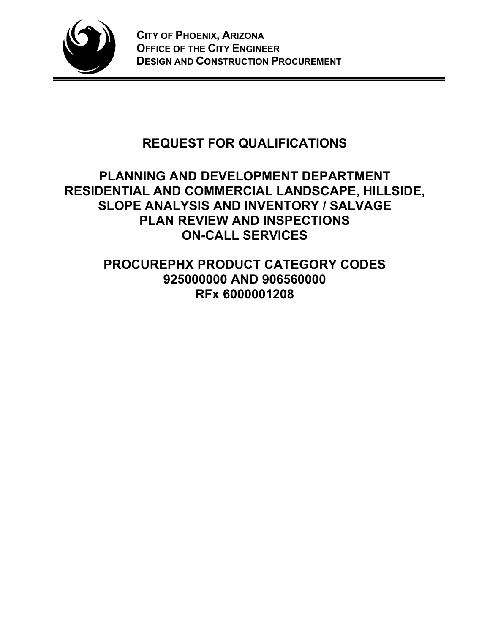

# **REQUEST FOR QUALIFICATIONS**

## **PLANNING AND DEVELOPMENT DEPARTMENT RESIDENTIAL AND COMMERCIAL LANDSCAPE, HILLSIDE, SLOPE ANALYSIS AND INVENTORY / SALVAGE PLAN REVIEW AND INSPECTIONS ON-CALL SERVICES**

**PROCUREPHX PRODUCT CATEGORY CODES 925000000 AND 906560000 RFx 6000001208**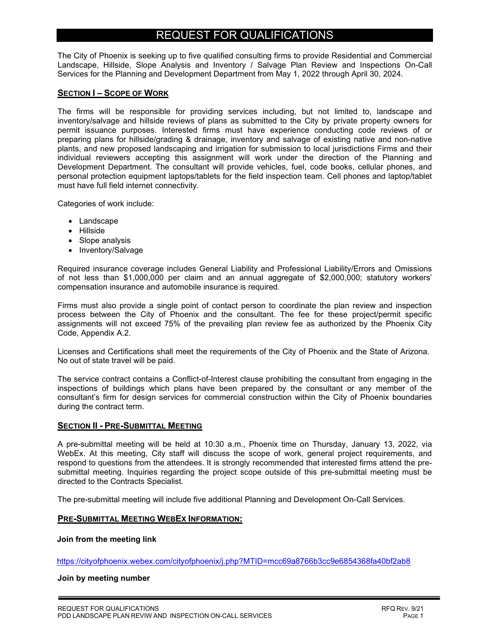### REQUEST FOR QUALIFICATIONS

The City of Phoenix is seeking up to five qualified consulting firms to provide Residential and Commercial Landscape, Hillside, Slope Analysis and Inventory / Salvage Plan Review and Inspections On-Call Services for the Planning and Development Department from May 1, 2022 through April 30, 2024.

#### **SECTION I – SCOPE OF WORK**

The firms will be responsible for providing services including, but not limited to, landscape and inventory/salvage and hillside reviews of plans as submitted to the City by private property owners for permit issuance purposes. Interested firms must have experience conducting code reviews of or preparing plans for hillside/grading & drainage, inventory and salvage of existing native and non-native plants, and new proposed landscaping and irrigation for submission to local jurisdictions Firms and their individual reviewers accepting this assignment will work under the direction of the Planning and Development Department. The consultant will provide vehicles, fuel, code books, cellular phones, and personal protection equipment laptops/tablets for the field inspection team. Cell phones and laptop/tablet must have full field internet connectivity.

Categories of work include:

- Landscape
- Hillside
- Slope analysis
- Inventory/Salvage

Required insurance coverage includes General Liability and Professional Liability/Errors and Omissions of not less than \$1,000,000 per claim and an annual aggregate of \$2,000,000; statutory workers' compensation insurance and automobile insurance is required.

Firms must also provide a single point of contact person to coordinate the plan review and inspection process between the City of Phoenix and the consultant. The fee for these project/permit specific assignments will not exceed 75% of the prevailing plan review fee as authorized by the Phoenix City Code, Appendix A.2.

Licenses and Certifications shall meet the requirements of the City of Phoenix and the State of Arizona. No out of state travel will be paid.

The service contract contains a Conflict-of-Interest clause prohibiting the consultant from engaging in the inspections of buildings which plans have been prepared by the consultant or any member of the consultant's firm for design services for commercial construction within the City of Phoenix boundaries during the contract term.

#### **SECTION II - PRE-SUBMITTAL MEETING**

A pre-submittal meeting will be held at 10:30 a.m., Phoenix time on Thursday, January 13, 2022, via WebEx. At this meeting, City staff will discuss the scope of work, general project requirements, and respond to questions from the attendees. It is strongly recommended that interested firms attend the presubmittal meeting. Inquiries regarding the project scope outside of this pre-submittal meeting must be directed to the Contracts Specialist.

The pre-submittal meeting will include five additional Planning and Development On-Call Services.

#### **PRE-SUBMITTAL MEETING WEBEX INFORMATION:**

**Join from the meeting link**

https://cityofphoenix.webex.com/cityofphoenix/j.php?MTID=mcc69a8766b3cc9e6854368fa40bf2ab8

#### **Join by meeting number**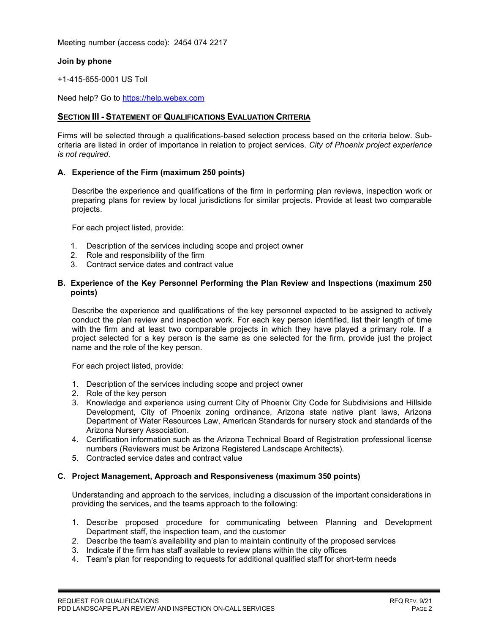Meeting number (access code): 2454 074 2217

#### **Join by phone**

+1-415-655-0001 US Toll

Need help? Go to https://help.webex.com

#### **SECTION III - STATEMENT OF QUALIFICATIONS EVALUATION CRITERIA**

Firms will be selected through a qualifications-based selection process based on the criteria below. Subcriteria are listed in order of importance in relation to project services. *City of Phoenix project experience is not required*.

#### **A. Experience of the Firm (maximum 250 points)**

Describe the experience and qualifications of the firm in performing plan reviews, inspection work or preparing plans for review by local jurisdictions for similar projects. Provide at least two comparable projects.

For each project listed, provide:

- 1. Description of the services including scope and project owner
- 2. Role and responsibility of the firm
- 3. Contract service dates and contract value

#### **B. Experience of the Key Personnel Performing the Plan Review and Inspections (maximum 250 points)**

Describe the experience and qualifications of the key personnel expected to be assigned to actively conduct the plan review and inspection work. For each key person identified, list their length of time with the firm and at least two comparable projects in which they have played a primary role. If a project selected for a key person is the same as one selected for the firm, provide just the project name and the role of the key person.

For each project listed, provide:

- 1. Description of the services including scope and project owner
- 2. Role of the key person
- 3. Knowledge and experience using current City of Phoenix City Code for Subdivisions and Hillside Development, City of Phoenix zoning ordinance, Arizona state native plant laws, Arizona Department of Water Resources Law, American Standards for nursery stock and standards of the Arizona Nursery Association.
- 4. Certification information such as the Arizona Technical Board of Registration professional license numbers (Reviewers must be Arizona Registered Landscape Architects).
- 5. Contracted service dates and contract value

#### **C. Project Management, Approach and Responsiveness (maximum 350 points)**

Understanding and approach to the services, including a discussion of the important considerations in providing the services, and the teams approach to the following:

- 1. Describe proposed procedure for communicating between Planning and Development Department staff, the inspection team, and the customer
- 2. Describe the team's availability and plan to maintain continuity of the proposed services
- 3. Indicate if the firm has staff available to review plans within the city offices
- 4. Team's plan for responding to requests for additional qualified staff for short-term needs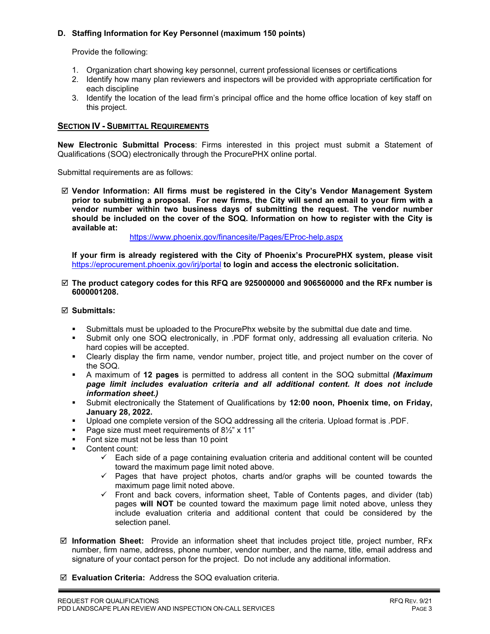#### **D. Staffing Information for Key Personnel (maximum 150 points)**

Provide the following:

- 1. Organization chart showing key personnel, current professional licenses or certifications
- 2. Identify how many plan reviewers and inspectors will be provided with appropriate certification for each discipline
- 3. Identify the location of the lead firm's principal office and the home office location of key staff on this project.

#### **SECTION IV - SUBMITTAL REQUIREMENTS**

**New Electronic Submittal Process**: Firms interested in this project must submit a Statement of Qualifications (SOQ) electronically through the ProcurePHX online portal.

Submittal requirements are as follows:

 **Vendor Information: All firms must be registered in the City's Vendor Management System prior to submitting a proposal. For new firms, the City will send an email to your firm with a vendor number within two business days of submitting the request. The vendor number should be included on the cover of the SOQ. Information on how to register with the City is available at:** 

<https://www.phoenix.gov/financesite/Pages/EProc-help.aspx>

**If your firm is already registered with the City of Phoenix's ProcurePHX system, please visit**  <https://eprocurement.phoenix.gov/irj/portal> **to login and access the electronic solicitation.**

#### **The product category codes for this RFQ are 925000000 and 906560000 and the RFx number is 6000001208.**

#### **Submittals:**

- Submittals must be uploaded to the ProcurePhx website by the submittal due date and time.
- Submit only one SOQ electronically, in .PDF format only, addressing all evaluation criteria. No hard copies will be accepted.
- Clearly display the firm name, vendor number, project title, and project number on the cover of the SOQ.
- A maximum of **12 pages** is permitted to address all content in the SOQ submittal *(Maximum page limit includes evaluation criteria and all additional content. It does not include information sheet.)*
- Submit electronically the Statement of Qualifications by **12:00 noon, Phoenix time, on Friday, January 28, 2022.**
- Upload one complete version of the SOQ addressing all the criteria. Upload format is .PDF.
- Page size must meet requirements of  $8\frac{1}{2}$ " x 11"
- Font size must not be less than 10 point
- **Content count:** 
	- $\checkmark$  Each side of a page containing evaluation criteria and additional content will be counted toward the maximum page limit noted above.
	- $\checkmark$  Pages that have project photos, charts and/or graphs will be counted towards the maximum page limit noted above.
	- $\checkmark$  Front and back covers, information sheet, Table of Contents pages, and divider (tab) pages **will NOT** be counted toward the maximum page limit noted above, unless they include evaluation criteria and additional content that could be considered by the selection panel.
- **Information Sheet:** Provide an information sheet that includes project title, project number, RFx number, firm name, address, phone number, vendor number, and the name, title, email address and signature of your contact person for the project. Do not include any additional information.
- **Evaluation Criteria:** Address the SOQ evaluation criteria.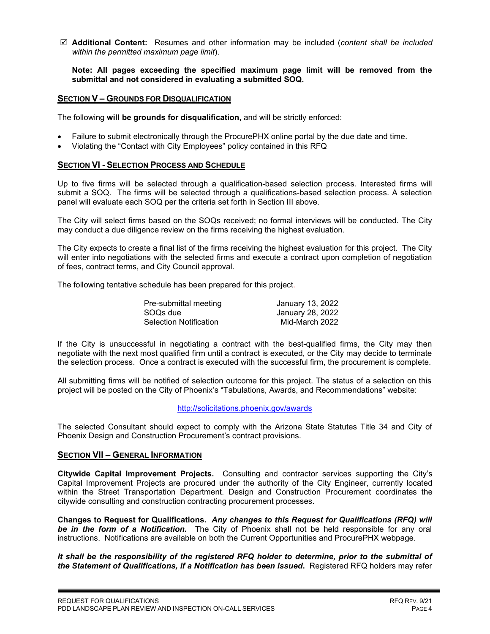**Additional Content:** Resumes and other information may be included (*content shall be included within the permitted maximum page limit*).

**Note: All pages exceeding the specified maximum page limit will be removed from the submittal and not considered in evaluating a submitted SOQ.** 

#### **SECTION V – GROUNDS FOR DISQUALIFICATION**

The following **will be grounds for disqualification,** and will be strictly enforced:

- Failure to submit electronically through the ProcurePHX online portal by the due date and time.
- Violating the "Contact with City Employees" policy contained in this RFQ

#### **SECTION VI - SELECTION PROCESS AND SCHEDULE**

Up to five firms will be selected through a qualification-based selection process. Interested firms will submit a SOQ. The firms will be selected through a qualifications-based selection process. A selection panel will evaluate each SOQ per the criteria set forth in Section III above.

The City will select firms based on the SOQs received; no formal interviews will be conducted. The City may conduct a due diligence review on the firms receiving the highest evaluation.

The City expects to create a final list of the firms receiving the highest evaluation for this project. The City will enter into negotiations with the selected firms and execute a contract upon completion of negotiation of fees, contract terms, and City Council approval.

The following tentative schedule has been prepared for this project.

| Pre-submittal meeting  | January 13, 2022 |
|------------------------|------------------|
| SOQs due               | January 28, 2022 |
| Selection Notification | Mid-March 2022   |

If the City is unsuccessful in negotiating a contract with the best-qualified firms, the City may then negotiate with the next most qualified firm until a contract is executed, or the City may decide to terminate the selection process. Once a contract is executed with the successful firm, the procurement is complete.

All submitting firms will be notified of selection outcome for this project. The status of a selection on this project will be posted on the City of Phoenix's "Tabulations, Awards, and Recommendations" website:

#### <http://solicitations.phoenix.gov/awards>

The selected Consultant should expect to comply with the Arizona State Statutes Title 34 and City of Phoenix Design and Construction Procurement's contract provisions.

#### **SECTION VII – GENERAL INFORMATION**

**Citywide Capital Improvement Projects.** Consulting and contractor services supporting the City's Capital Improvement Projects are procured under the authority of the City Engineer, currently located within the Street Transportation Department. Design and Construction Procurement coordinates the citywide consulting and construction contracting procurement processes.

**Changes to Request for Qualifications.** *Any changes to this Request for Qualifications (RFQ) will be in the form of a Notification.* The City of Phoenix shall not be held responsible for any oral instructions. Notifications are available on both the Current Opportunities and ProcurePHX webpage.

*It shall be the responsibility of the registered RFQ holder to determine, prior to the submittal of the Statement of Qualifications, if a Notification has been issued***.** Registered RFQ holders may refer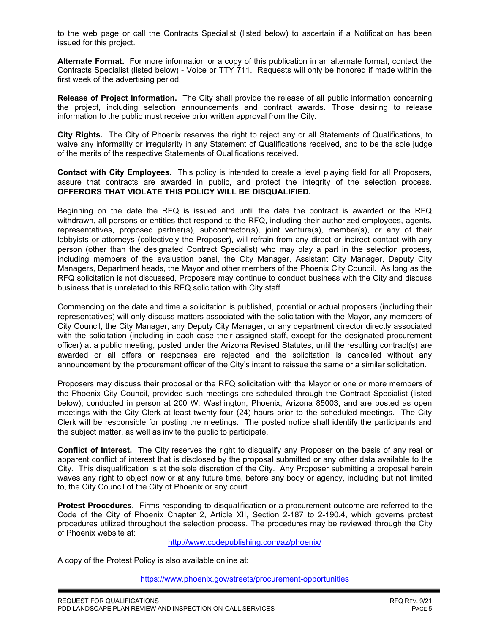to the web page or call the Contracts Specialist (listed below) to ascertain if a Notification has been issued for this project.

**Alternate Format.** For more information or a copy of this publication in an alternate format, contact the Contracts Specialist (listed below) - Voice or TTY 711. Requests will only be honored if made within the first week of the advertising period.

**Release of Project Information.** The City shall provide the release of all public information concerning the project, including selection announcements and contract awards. Those desiring to release information to the public must receive prior written approval from the City.

**City Rights.** The City of Phoenix reserves the right to reject any or all Statements of Qualifications, to waive any informality or irregularity in any Statement of Qualifications received, and to be the sole judge of the merits of the respective Statements of Qualifications received.

**Contact with City Employees.** This policy is intended to create a level playing field for all Proposers, assure that contracts are awarded in public, and protect the integrity of the selection process. **OFFERORS THAT VIOLATE THIS POLICY WILL BE DISQUALIFIED.**

Beginning on the date the RFQ is issued and until the date the contract is awarded or the RFQ withdrawn, all persons or entities that respond to the RFQ, including their authorized employees, agents, representatives, proposed partner(s), subcontractor(s), joint venture(s), member(s), or any of their lobbyists or attorneys (collectively the Proposer), will refrain from any direct or indirect contact with any person (other than the designated Contract Specialist) who may play a part in the selection process, including members of the evaluation panel, the City Manager, Assistant City Manager, Deputy City Managers, Department heads, the Mayor and other members of the Phoenix City Council. As long as the RFQ solicitation is not discussed, Proposers may continue to conduct business with the City and discuss business that is unrelated to this RFQ solicitation with City staff.

Commencing on the date and time a solicitation is published, potential or actual proposers (including their representatives) will only discuss matters associated with the solicitation with the Mayor, any members of City Council, the City Manager, any Deputy City Manager, or any department director directly associated with the solicitation (including in each case their assigned staff, except for the designated procurement officer) at a public meeting, posted under the Arizona Revised Statutes, until the resulting contract(s) are awarded or all offers or responses are rejected and the solicitation is cancelled without any announcement by the procurement officer of the City's intent to reissue the same or a similar solicitation.

Proposers may discuss their proposal or the RFQ solicitation with the Mayor or one or more members of the Phoenix City Council, provided such meetings are scheduled through the Contract Specialist (listed below), conducted in person at 200 W. Washington, Phoenix, Arizona 85003, and are posted as open meetings with the City Clerk at least twenty-four (24) hours prior to the scheduled meetings. The City Clerk will be responsible for posting the meetings. The posted notice shall identify the participants and the subject matter, as well as invite the public to participate.

**Conflict of Interest.** The City reserves the right to disqualify any Proposer on the basis of any real or apparent conflict of interest that is disclosed by the proposal submitted or any other data available to the City. This disqualification is at the sole discretion of the City. Any Proposer submitting a proposal herein waves any right to object now or at any future time, before any body or agency, including but not limited to, the City Council of the City of Phoenix or any court.

**Protest Procedures.** Firms responding to disqualification or a procurement outcome are referred to the Code of the City of Phoenix Chapter 2, Article XII, Section 2-187 to 2-190.4, which governs protest procedures utilized throughout the selection process. The procedures may be reviewed through the City of Phoenix website at:

<http://www.codepublishing.com/az/phoenix/>

A copy of the Protest Policy is also available online at:

<https://www.phoenix.gov/streets/procurement-opportunities>